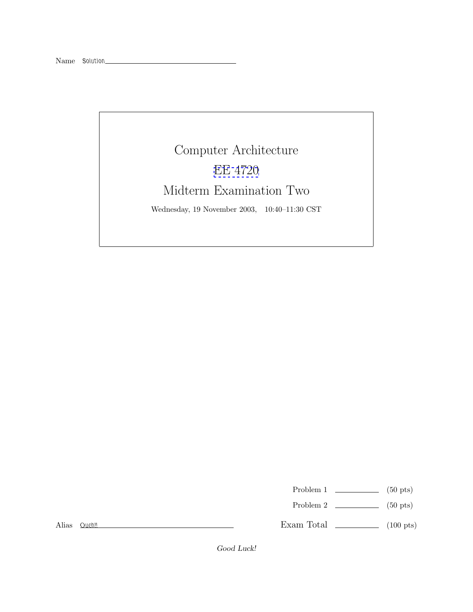

Problem 1  $\qquad \qquad$  (50 pts)

Problem 2  $\qquad \qquad$  (50 pts)

Alias *Ouch!!*

Exam Total \_\_\_\_\_\_\_\_\_\_\_\_\_ (100 pts)

*Good Luck!*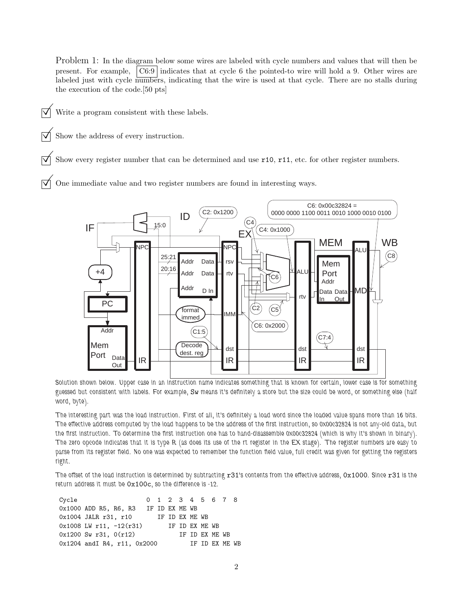Problem 1: In the diagram below some wires are labeled with cycle numbers and values that will then be present. For example, C6:9 indicates that at cycle 6 the pointed-to wire will hold a 9. Other wires are labeled just with cycle numbers, indicating that the wire is used at that cycle. There are no stalls during the execution of the code.[50 pts]

- $\triangledown$  Write a program consistent with these labels.
	- Show the address of every instruction.

Show every register number that can be determined and use r10, r11, etc. for other register numbers.

© One immediate value and two register numbers are found in interesting ways.



*Solution shown below. Upper case in an instruction name indicates something that is known for certain, lower case is for something guessed but consistent with labels. For example,* Sw *means it's definitely a store but the size could be word, or something else (half word, byte).*

*The interesting part was the load instruction. First of all, it's definitely a load word since the loaded value spans more than 16 bits. The effective address computed by the load happens to be the address of the first instruction, so 0x00c32824 is not any-old data, but the first instruction. To determine the first instruction one has to hand-disassemble 0x00c32824 (which is why it's shown in binary). The zero opcode indicates that it is type R (as does its use of the rt register in the EX stage). The register numbers are easy to parse from its register field. No one was expected to remember the function field value, full credit was given for getting the registers right.*

*The offset of the load instruction is determined by subtracting* r31*'s contents from the effective address,* 0x1000*. Since* r31 *is the return address it must be* 0x100c*, so the difference is -12.*

| Cycle |                                      |  |                |                |  | 0 1 2 3 4 5 6 7 8 |  |
|-------|--------------------------------------|--|----------------|----------------|--|-------------------|--|
|       | 0x1000 ADD R5, R6, R3 IF ID EX ME WB |  |                |                |  |                   |  |
|       | 0x1004 JALR r31, r10                 |  | IF ID EX ME WB |                |  |                   |  |
|       | 0x1008 LW r11, $-12(r31)$            |  |                | IF ID EX ME WB |  |                   |  |
|       | $0x1200$ Sw r31, $0(r12)$            |  |                |                |  | IF ID EX ME WB    |  |
|       | $0x1204$ and R4, r11, $0x2000$       |  |                |                |  | IF ID EX ME WB    |  |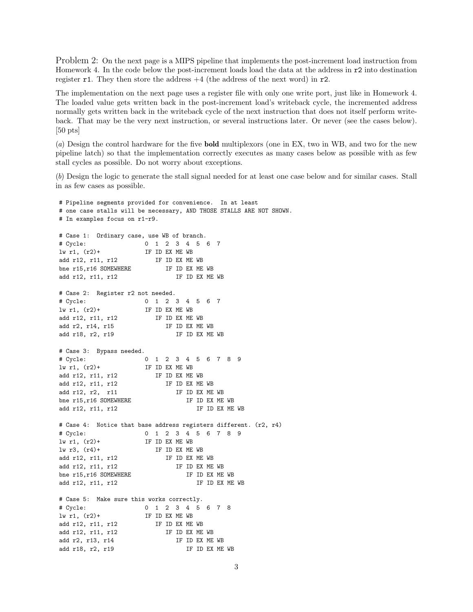Problem 2: On the next page is a MIPS pipeline that implements the post-increment load instruction from Homework 4. In the code below the post-increment loads load the data at the address in r2 into destination register r1. They then store the address  $+4$  (the address of the next word) in r2.

The implementation on the next page uses a register file with only one write port, just like in Homework 4. The loaded value gets written back in the post-increment load's writeback cycle, the incremented address normally gets written back in the writeback cycle of the next instruction that does not itself perform writeback. That may be the very next instruction, or several instructions later. Or never (see the cases below). [50 pts]

(a) Design the control hardware for the five **bold** multiplexors (one in EX, two in WB, and two for the new pipeline latch) so that the implementation correctly executes as many cases below as possible with as few stall cycles as possible. Do not worry about exceptions.

(b) Design the logic to generate the stall signal needed for at least one case below and for similar cases. Stall in as few cases as possible.

# Pipeline segments provided for convenience. In at least # one case stalls will be necessary, AND THOSE STALLS ARE NOT SHOWN. # In examples focus on r1-r9. # Case 1: Ordinary case, use WB of branch. # Cycle: 01234567  $\ln r1$ ,  $(r2)+$  IF ID EX ME WB add r12, r11, r12 IF ID EX ME WB bne r15, r16 SOMEWHERE IF ID EX ME WB add r12, r11, r12 IF ID EX ME WB # Case 2: Register r2 not needed. # Cycle: 01234567 lw r1, (r2)+ IF ID EX ME WB add r12, r11, r12 IF ID EX ME WB add r2, r14, r15 IF ID EX ME WB add r18, r2, r19 IF ID EX ME WB # Case 3: Bypass needed. # Cycle: 0123456789  $\ln r1$ ,  $(r2)$ + IF ID EX ME WB add r12, r11, r12 IF ID EX ME WB add r12, r11, r12 IF ID EX ME WB add r12, r2, r11 IF ID EX ME WB bne r15, r16 SOMEWHERE IF ID EX ME WB add r12, r11, r12 IF ID EX ME WB # Case 4: Notice that base address registers different. (r2, r4) # Cycle: 0123456789 lw r1, (r2)+ IF ID EX ME WB lw r3, (r4)+ IF ID EX ME WB add r12, r11, r12 IF ID EX ME WB add r12, r11, r12 IF ID EX ME WB bne r15, r16 SOMEWHERE IF ID EX ME WB add r12, r11, r12 IF ID EX ME WB # Case 5: Make sure this works correctly. # Cycle: 012345678  $\ln r1$ ,  $(r2)$ + IF ID EX ME WB add r12, r11, r12 IF ID EX ME WB add r12, r11, r12 IF ID EX ME WB add r2, r13, r14 IF ID EX ME WB add r18, r2, r19 IF ID EX ME WB